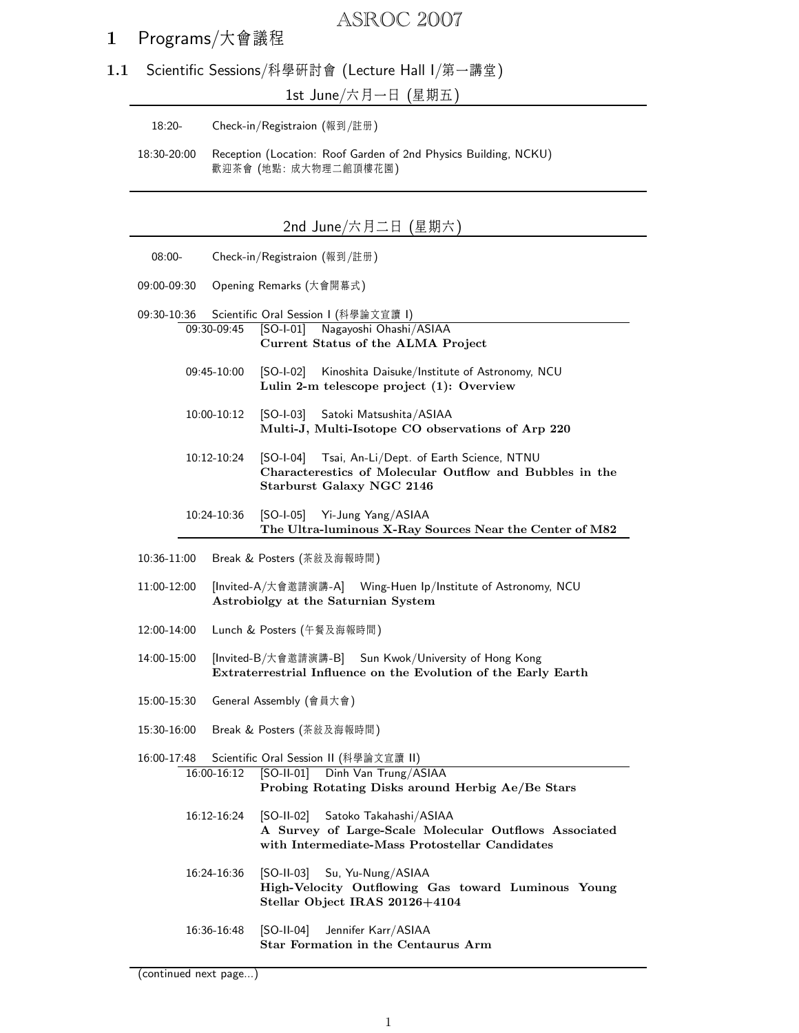# ASROC 2007

## 1 Programs/大會議程

1.1 Scientific Sessions/科學研討會 (Lecture Hall I/第一講堂)

1st June/六月一日 (星期五)

18:20- Check-in/Registraion (報到/註册)

18:30-20:00 Reception (Location: Roof Garden of 2nd Physics Building, NCKU) 歡迎茶會 (地點: 成大物理二館頂樓花園)

| 2nd June/六月二日 (星期六                                                                                                                                          |             |                                                                                                                                                 |  |  |
|-------------------------------------------------------------------------------------------------------------------------------------------------------------|-------------|-------------------------------------------------------------------------------------------------------------------------------------------------|--|--|
| $08:00-$                                                                                                                                                    |             | Check-in/Registraion (報到/註册)                                                                                                                    |  |  |
| 09:00-09:30                                                                                                                                                 |             | Opening Remarks (大會開幕式)                                                                                                                         |  |  |
| 09:30-10:36                                                                                                                                                 |             | Scientific Oral Session I (科學論文宣讀 I)                                                                                                            |  |  |
| 09:30-09:45                                                                                                                                                 |             | [SO-I-01] Nagayoshi Ohashi/ASIAA<br>Current Status of the ALMA Project                                                                          |  |  |
| 09:45-10:00                                                                                                                                                 |             | Kinoshita Daisuke/Institute of Astronomy, NCU<br>[SO-I-02]<br>Lulin 2-m telescope project (1): Overview                                         |  |  |
| 10:00-10:12                                                                                                                                                 |             | $[SO-I-03]$<br>Satoki Matsushita/ASIAA<br>Multi-J, Multi-Isotope CO observations of Arp 220                                                     |  |  |
| 10:12-10:24                                                                                                                                                 |             | [SO-I-04] Tsai, An-Li/Dept. of Earth Science, NTNU<br>Characterestics of Molecular Outflow and Bubbles in the<br>Starburst Galaxy NGC 2146      |  |  |
|                                                                                                                                                             | 10:24-10:36 | [SO-I-05] Yi-Jung Yang/ASIAA<br>The Ultra-luminous X-Ray Sources Near the Center of M82                                                         |  |  |
| $10:36-11:00$                                                                                                                                               |             | Break & Posters (茶敍及海報時間)                                                                                                                       |  |  |
| 11:00-12:00                                                                                                                                                 |             | [Invited-A/大會邀請演講-A] Wing-Huen Ip/Institute of Astronomy, NCU<br>Astrobiolgy at the Saturnian System                                            |  |  |
| 12:00-14:00                                                                                                                                                 |             | Lunch & Posters (午餐及海報時間)                                                                                                                       |  |  |
| 14:00-15:00                                                                                                                                                 |             | [Invited-B/大會邀請演講-B] Sun Kwok/University of Hong Kong<br>Extraterrestrial Influence on the Evolution of the Early Earth                         |  |  |
| 15:00-15:30                                                                                                                                                 |             | General Assembly (會員大會)                                                                                                                         |  |  |
| Break & Posters (茶敍及海報時間)<br>15:30-16:00                                                                                                                    |             |                                                                                                                                                 |  |  |
| Scientific Oral Session II (科學論文宣讀 II)<br>16:00-17:48<br>16:00-16:12<br>[SO-II-01] Dinh Van Trung/ASIAA<br>Probing Rotating Disks around Herbig Ae/Be Stars |             |                                                                                                                                                 |  |  |
| 16:12-16:24                                                                                                                                                 |             | Satoko Takahashi/ASIAA<br>[SO-II-02]<br>A Survey of Large-Scale Molecular Outflows Associated<br>with Intermediate-Mass Protostellar Candidates |  |  |
| 16:24-16:36                                                                                                                                                 |             | [SO-II-03] Su, Yu-Nung/ASIAA<br>High-Velocity Outflowing Gas toward Luminous Young<br>Stellar Object IRAS 20126+4104                            |  |  |
| 16:36-16:48                                                                                                                                                 |             | $[SO-II-04]$<br>Jennifer Karr/ASIAA<br>Star Formation in the Centaurus Arm                                                                      |  |  |

#### (continued next page...)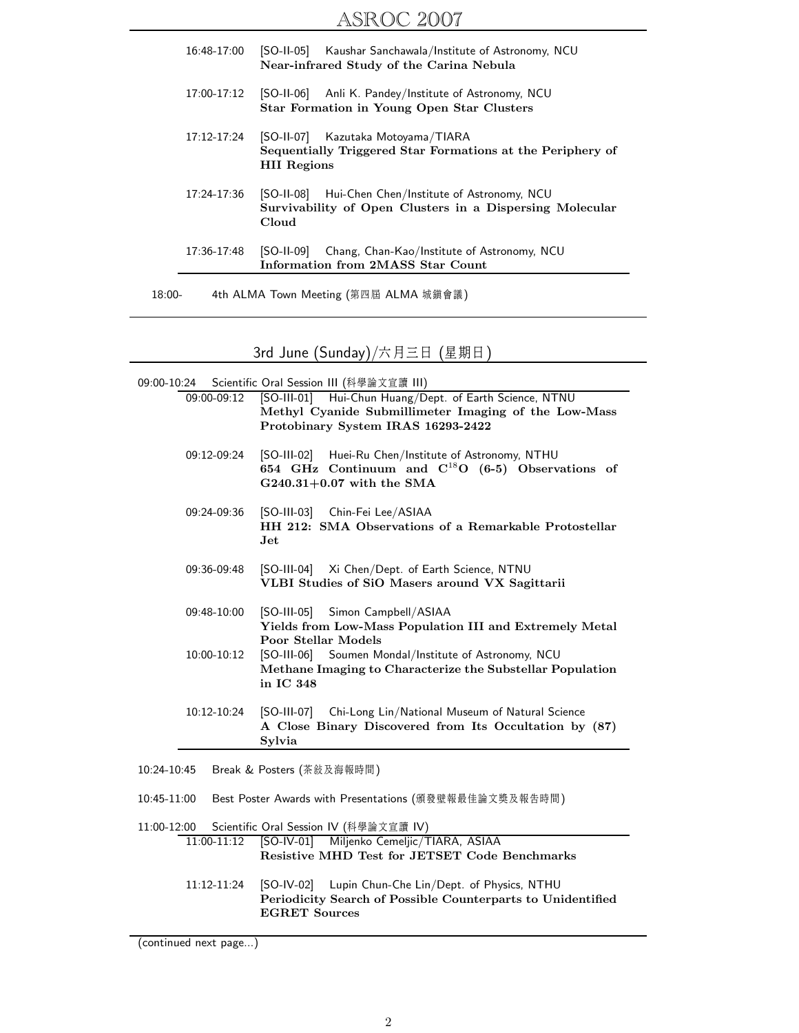| 16:48-17:00     | [SO-II-05] Kaushar Sanchawala/Institute of Astronomy, NCU<br>Near-infrared Study of the Carina Nebula                        |
|-----------------|------------------------------------------------------------------------------------------------------------------------------|
| 17:00-17:12     | [SO-11-06]<br>Anli K. Pandey/Institute of Astronomy, NCU<br>Star Formation in Young Open Star Clusters                       |
| $17:12 - 17:24$ | [SO-II-07] Kazutaka Motoyama/TIARA<br>Sequentially Triggered Star Formations at the Periphery of<br><b>HII</b> Regions       |
| 17:24-17:36     | Hui-Chen Chen/Institute of Astronomy, NCU<br>[SO-11-08]<br>Survivability of Open Clusters in a Dispersing Molecular<br>Cloud |
| 17:36-17:48     | [SO-II-09]<br>Chang, Chan-Kao/Institute of Astronomy, NCU<br>Information from 2MASS Star Count                               |
|                 |                                                                                                                              |

18:00- 4th ALMA Town Meeting (第四屆 ALMA 城鎭會議)

3rd June (Sunday)/六月三日 (星期日)

| Scientific Oral Session III (科學論文宣讀 III)<br>09:00-10:24               |                                                                                                                                                       |  |  |  |  |
|-----------------------------------------------------------------------|-------------------------------------------------------------------------------------------------------------------------------------------------------|--|--|--|--|
| 09:00-09:12                                                           | [SO-III-01] Hui-Chun Huang/Dept. of Earth Science, NTNU<br>Methyl Cyanide Submillimeter Imaging of the Low-Mass<br>Protobinary System IRAS 16293-2422 |  |  |  |  |
|                                                                       |                                                                                                                                                       |  |  |  |  |
| 09:12-09:24                                                           | [SO-III-02] Huei-Ru Chen/Institute of Astronomy, NTHU<br>654 GHz Continuum and $C^{18}O$ (6-5) Observations of                                        |  |  |  |  |
|                                                                       | $G240.31+0.07$ with the SMA                                                                                                                           |  |  |  |  |
| 09:24-09:36                                                           | [SO-III-03] Chin-Fei Lee/ASIAA                                                                                                                        |  |  |  |  |
|                                                                       | HH 212: SMA Observations of a Remarkable Protostellar<br>$\mathbf{Jet}$                                                                               |  |  |  |  |
| 09:36-09:48                                                           | [SO-III-04] Xi Chen/Dept. of Earth Science, NTNU                                                                                                      |  |  |  |  |
|                                                                       | VLBI Studies of SiO Masers around VX Sagittarii                                                                                                       |  |  |  |  |
| 09:48-10:00                                                           | [SO-III-05] Simon Campbell/ASIAA                                                                                                                      |  |  |  |  |
|                                                                       | Yields from Low-Mass Population III and Extremely Metal<br><b>Poor Stellar Models</b>                                                                 |  |  |  |  |
| 10:00-10:12                                                           | Soumen Mondal/Institute of Astronomy, NCU<br>[SO-III-06]                                                                                              |  |  |  |  |
|                                                                       | Methane Imaging to Characterize the Substellar Population<br>in IC 348                                                                                |  |  |  |  |
| 10:12-10:24                                                           | [SO-III-07] Chi-Long Lin/National Museum of Natural Science                                                                                           |  |  |  |  |
|                                                                       | A Close Binary Discovered from Its Occultation by (87)<br>Sylvia                                                                                      |  |  |  |  |
| 10:24-10:45<br>Break & Posters (茶敍及海報時間)                              |                                                                                                                                                       |  |  |  |  |
| 10:45-11:00<br>Best Poster Awards with Presentations (頒發壁報最佳論文獎及報告時間) |                                                                                                                                                       |  |  |  |  |
| 11:00-12:00                                                           | Scientific Oral Session IV (科學論文宣讀 IV)                                                                                                                |  |  |  |  |
| 11:00-11:12                                                           | [SO-IV-01] Miljenko Cemeljic/TIARA, ASIAA<br>Resistive MHD Test for JETSET Code Benchmarks                                                            |  |  |  |  |
| 11:12-11:24                                                           | [SO-IV-02] Lupin Chun-Che Lin/Dept. of Physics, NTHU                                                                                                  |  |  |  |  |
|                                                                       | Periodicity Search of Possible Counterparts to Unidentified<br><b>EGRET Sources</b>                                                                   |  |  |  |  |
|                                                                       |                                                                                                                                                       |  |  |  |  |

<sup>(</sup>continued next page...)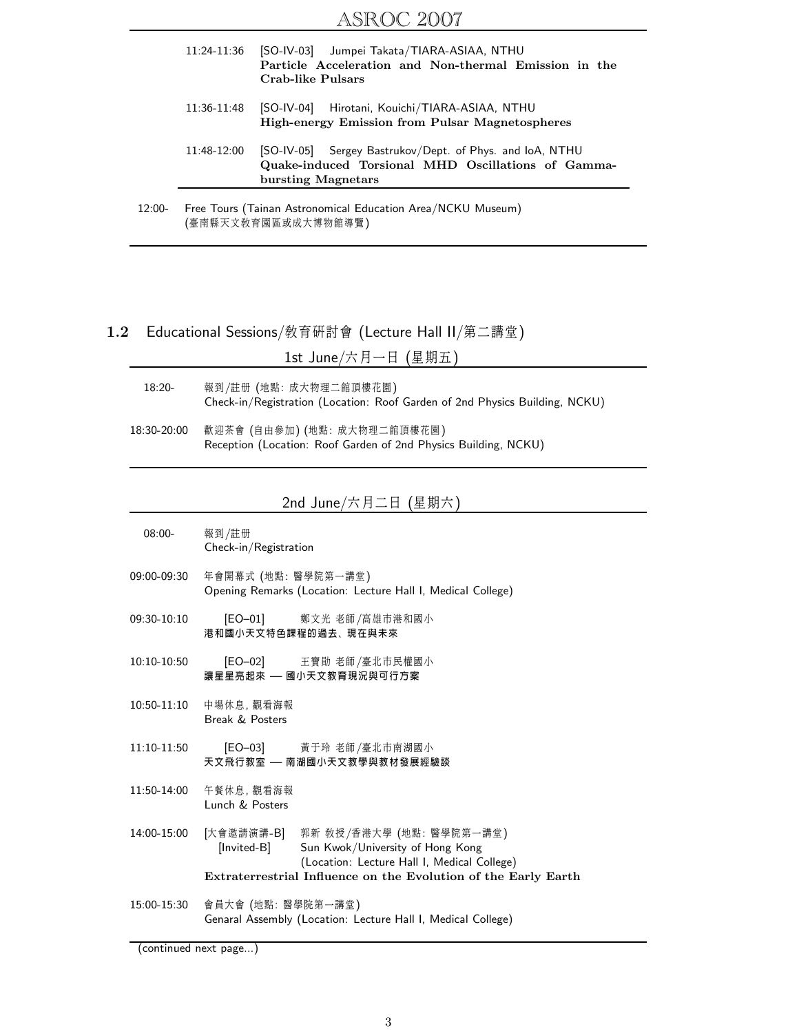| 12:00- |             | Free Tours (Tainan Astronomical Education Area/NCKU Museum)<br>(臺南縣天文敎育園區或成大博物館導覽)                                                   |  |  |
|--------|-------------|--------------------------------------------------------------------------------------------------------------------------------------|--|--|
|        | 11:48-12:00 | [SO-IV-05] Sergey Bastrukov/Dept. of Phys. and IoA, NTHU<br>Quake-induced Torsional MHD Oscillations of Gamma-<br>bursting Magnetars |  |  |
|        | 11:36-11:48 | [SO-IV-04] Hirotani, Kouichi/TIARA-ASIAA, NTHU<br>High-energy Emission from Pulsar Magnetospheres                                    |  |  |
|        |             | Particle Acceleration and Non-thermal Emission in the<br>Crab-like Pulsars                                                           |  |  |
|        | 11:24-11:36 | [SO-IV-03] Jumpei Takata/TIARA-ASIAA, NTHU                                                                                           |  |  |

#### $1.2\,$ Educational Sessions/教育研討會 (Lecture Hall II/第二講堂)

1st June/六月一日 (星期五)

- $18:20-$ 報到/註册 (地點:成大物理二館頂樓花園) Check-in/Registration (Location: Roof Garden of 2nd Physics Building, NCKU)
- 18:30-20:00 歡迎茶會 (自由參加) (地點:成大物理二館頂樓花園) Reception (Location: Roof Garden of 2nd Physics Building, NCKU)

### 2nd June/六月二日 (星期六)

- $08:00 -$ 報到/註册 Check-in/Registration
- 09:00-09:30 年會開幕式 (地點:醫學院第一講堂) Opening Remarks (Location: Lecture Hall I, Medical College)
- 09:30-10:10  $[EO-01]$ 鄭文光 老師/高雄市港和國小 港和國小天文特色課程的過去、現在與未來
- 10:10-10:50 王寶勛 老師/臺北市民權國小  $[EO-02]$ 讓星星亮起來 — 國小天文教育現況與可行方案
- 中場休息, 觀看海報 10:50-11:10 Break & Posters
- $11:10-11:50$  $[EO-03]$ 黃于玲 老師/臺北市南湖國小 天文飛行教室 — 南湖國小天文教學與教材發展經驗談
- 11:50-14:00 午餐休息, 觀看海報 Lunch & Posters
- 14:00-15:00 [大會邀請演講-B] 郭新 教授/香港大學 (地點:醫學院第一講堂) [Invited-B] Sun Kwok/University of Hong Kong (Location: Lecture Hall I, Medical College) Extraterrestrial Influence on the Evolution of the Early Earth
- 會員大會 (地點:醫學院第一講堂) 15:00-15:30 Genaral Assembly (Location: Lecture Hall I, Medical College)

(continued next page...)